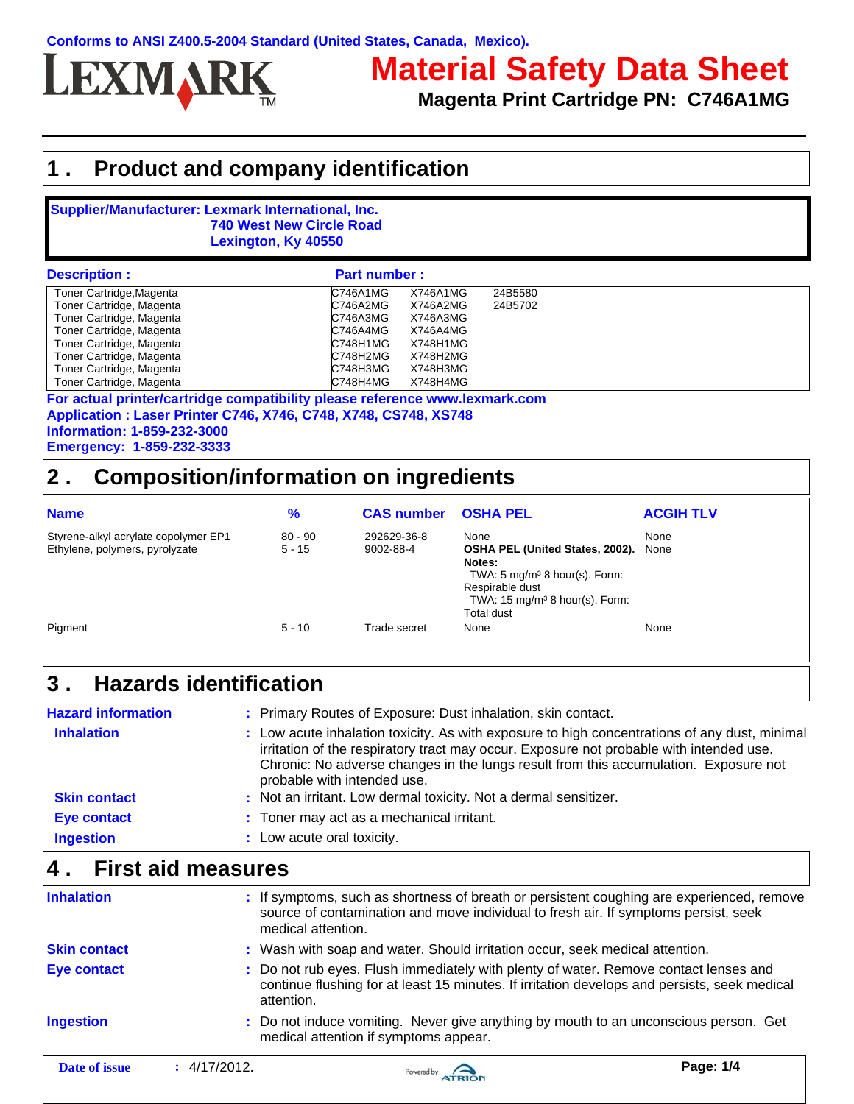

# **Material Safety Data Sheet**

**Magenta Print Cartridge PN: C746A1MG**

### **1 . Product and company identification**

#### **Supplier/Manufacturer: Lexmark International, Inc. 740 West New Circle Road Lexington, Ky 40550**

| <b>Description:</b>      | <b>Part number:</b> |          |         |  |
|--------------------------|---------------------|----------|---------|--|
| Toner Cartridge, Magenta | C746A1MG            | X746A1MG | 24B5580 |  |
| Toner Cartridge, Magenta | C746A2MG            | X746A2MG | 24B5702 |  |
| Toner Cartridge, Magenta | C746A3MG            | X746A3MG |         |  |
| Toner Cartridge, Magenta | C746A4MG            | X746A4MG |         |  |
| Toner Cartridge, Magenta | C748H1MG            | X748H1MG |         |  |
| Toner Cartridge, Magenta | C748H2MG            | X748H2MG |         |  |
| Toner Cartridge, Magenta | C748H3MG            | X748H3MG |         |  |
| Toner Cartridge, Magenta | C748H4MG            | X748H4MG |         |  |

**Application : Laser Printer C746, X746, C748, X748, CS748, XS748 Information: 1-859-232-3000 Emergency: 1-859-232-3333 For actual printer/cartridge compatibility please reference www.lexmark.com**

# **2 . Composition/information on ingredients**

| <b>Name</b>                                                            | $\%$                  | <b>CAS number</b>        | <b>OSHA PEL</b>                                                                                                                                                                    | <b>ACGIH TLV</b> |
|------------------------------------------------------------------------|-----------------------|--------------------------|------------------------------------------------------------------------------------------------------------------------------------------------------------------------------------|------------------|
| Styrene-alkyl acrylate copolymer EP1<br>Ethylene, polymers, pyrolyzate | $80 - 90$<br>$5 - 15$ | 292629-36-8<br>9002-88-4 | None<br>OSHA PEL (United States, 2002).<br>Notes:<br>TWA: $5 \text{ mg/m}^3$ 8 hour(s). Form:<br>Respirable dust<br>TWA: $15 \text{ mg/m}^3$ 8 hour(s). Form:<br><b>Total dust</b> | None<br>None     |
| Pigment                                                                | $5 - 10$              | Trade secret             | None                                                                                                                                                                               | None             |

#### **Hazards identification 3 .**

| <b>Hazard information</b> | : Primary Routes of Exposure: Dust inhalation, skin contact.                                                                                                                                                                                                                                                    |
|---------------------------|-----------------------------------------------------------------------------------------------------------------------------------------------------------------------------------------------------------------------------------------------------------------------------------------------------------------|
| <b>Inhalation</b>         | : Low acute inhalation toxicity. As with exposure to high concentrations of any dust, minimal<br>irritation of the respiratory tract may occur. Exposure not probable with intended use.<br>Chronic: No adverse changes in the lungs result from this accumulation. Exposure not<br>probable with intended use. |
| <b>Skin contact</b>       | : Not an irritant. Low dermal toxicity. Not a dermal sensitizer.                                                                                                                                                                                                                                                |
| <b>Eye contact</b>        | : Toner may act as a mechanical irritant.                                                                                                                                                                                                                                                                       |
| <b>Ingestion</b>          | : Low acute oral toxicity.                                                                                                                                                                                                                                                                                      |

### **4 . First aid measures**

| <b>Inhalation</b>   | : If symptoms, such as shortness of breath or persistent coughing are experienced, remove<br>source of contamination and move individual to fresh air. If symptoms persist, seek<br>medical attention. |
|---------------------|--------------------------------------------------------------------------------------------------------------------------------------------------------------------------------------------------------|
| <b>Skin contact</b> | : Wash with soap and water. Should irritation occur, seek medical attention.                                                                                                                           |
| Eye contact         | : Do not rub eyes. Flush immediately with plenty of water. Remove contact lenses and<br>continue flushing for at least 15 minutes. If irritation develops and persists, seek medical<br>attention.     |
| <b>Ingestion</b>    | : Do not induce vomiting. Never give anything by mouth to an unconscious person. Get<br>medical attention if symptoms appear.                                                                          |
|                     |                                                                                                                                                                                                        |

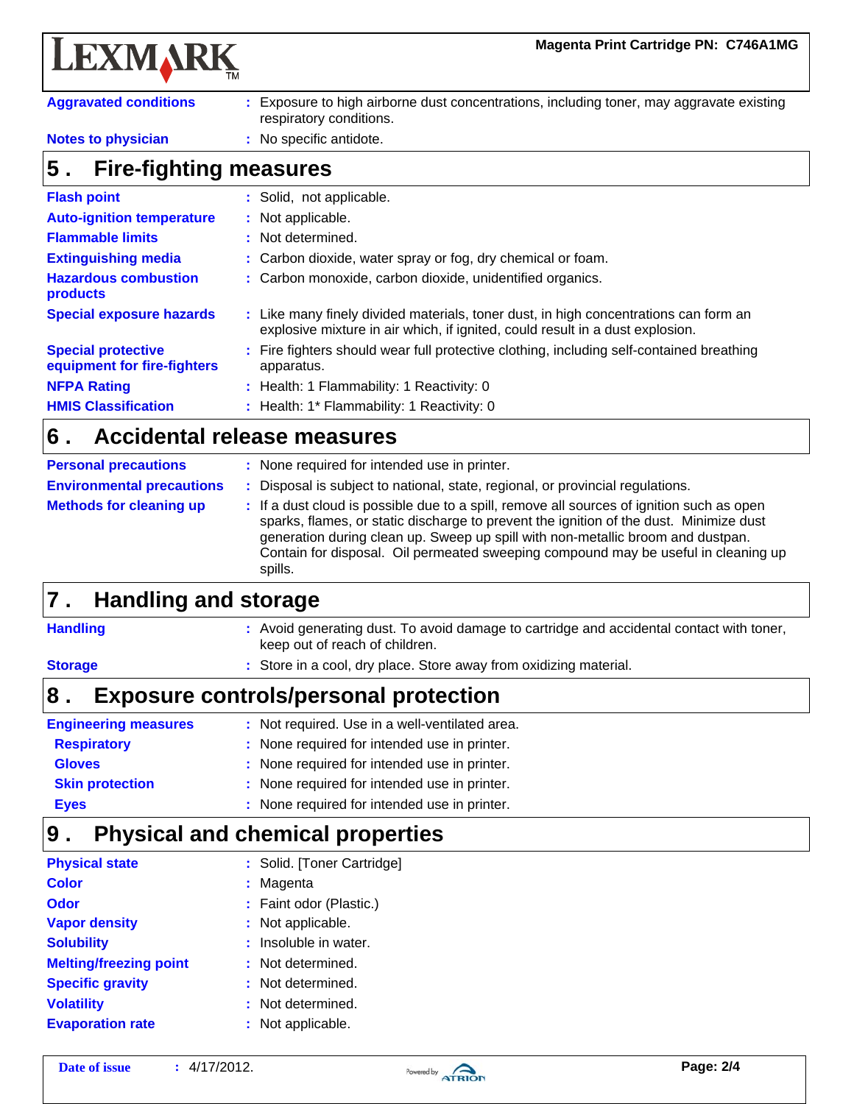**Magenta Print Cartridge PN: C746A1MG**

| <b>LEXMARK</b> |  |
|----------------|--|
|----------------|--|

**HMIS Classification**

| <b>Aggravated conditions</b><br>Exposure to high airborne dust concentrations, including toner, may aggravate existing<br>respiratory conditions. |                          |  |  |
|---------------------------------------------------------------------------------------------------------------------------------------------------|--------------------------|--|--|
| <b>Notes to physician</b><br>: No specific antidote.                                                                                              |                          |  |  |
| <b>Fire-fighting measures</b><br>$\sqrt{5}$ .                                                                                                     |                          |  |  |
| <b>Flash point</b>                                                                                                                                | : Solid, not applicable. |  |  |
| <b>Auto-ignition temperature</b>                                                                                                                  | : Not applicable.        |  |  |

| <b>Flammable limits</b>                                  | : Not determined.                                                                                                                                                     |
|----------------------------------------------------------|-----------------------------------------------------------------------------------------------------------------------------------------------------------------------|
| <b>Extinguishing media</b>                               | : Carbon dioxide, water spray or fog, dry chemical or foam.                                                                                                           |
| <b>Hazardous combustion</b><br>products                  | : Carbon monoxide, carbon dioxide, unidentified organics.                                                                                                             |
| <b>Special exposure hazards</b>                          | : Like many finely divided materials, toner dust, in high concentrations can form an<br>explosive mixture in air which, if ignited, could result in a dust explosion. |
| <b>Special protective</b><br>equipment for fire-fighters | : Fire fighters should wear full protective clothing, including self-contained breathing<br>apparatus.                                                                |
| <b>NFPA Rating</b>                                       | : Health: 1 Flammability: 1 Reactivity: 0                                                                                                                             |

**:** Health: 1\* Flammability: 1 Reactivity: 0

#### **Accidental release measures 6 .**

| <b>Personal precautions</b>      | : None required for intended use in printer.                                                                                                                                                                                                                                                                                                                            |
|----------------------------------|-------------------------------------------------------------------------------------------------------------------------------------------------------------------------------------------------------------------------------------------------------------------------------------------------------------------------------------------------------------------------|
| <b>Environmental precautions</b> | Disposal is subject to national, state, regional, or provincial regulations.                                                                                                                                                                                                                                                                                            |
| <b>Methods for cleaning up</b>   | : If a dust cloud is possible due to a spill, remove all sources of ignition such as open<br>sparks, flames, or static discharge to prevent the ignition of the dust. Minimize dust<br>generation during clean up. Sweep up spill with non-metallic broom and dustpan.<br>Contain for disposal. Oil permeated sweeping compound may be useful in cleaning up<br>spills. |

#### **Handling and storage 7 .**

| <b>Handling</b>             | : Avoid generating dust. To avoid damage to cartridge and accidental contact with toner,<br>keep out of reach of children. |
|-----------------------------|----------------------------------------------------------------------------------------------------------------------------|
| <b>Storage</b>              | : Store in a cool, dry place. Store away from oxidizing material.                                                          |
| 8                           | <b>Exposure controls/personal protection</b>                                                                               |
| <b>Engineering measures</b> | : Not required. Use in a well-ventilated area.                                                                             |
| <b>Respiratory</b>          | : None required for intended use in printer.                                                                               |
| <b>Gloves</b>               | : None required for intended use in printer.                                                                               |
| <b>Skin protection</b>      | : None required for intended use in printer.                                                                               |
| <b>Eyes</b>                 | : None required for intended use in printer.                                                                               |

#### **Physical and chemical properties 9 .**

| <b>Physical state</b>         | : Solid. [Toner Cartridge] |
|-------------------------------|----------------------------|
| <b>Color</b>                  | : Magenta                  |
| Odor                          | : Faint odor (Plastic.)    |
| <b>Vapor density</b>          | : Not applicable.          |
| <b>Solubility</b>             | $:$ Insoluble in water.    |
| <b>Melting/freezing point</b> | : Not determined.          |
| <b>Specific gravity</b>       | : Not determined.          |
| <b>Volatility</b>             | : Not determined.          |
| <b>Evaporation rate</b>       | : Not applicable.          |

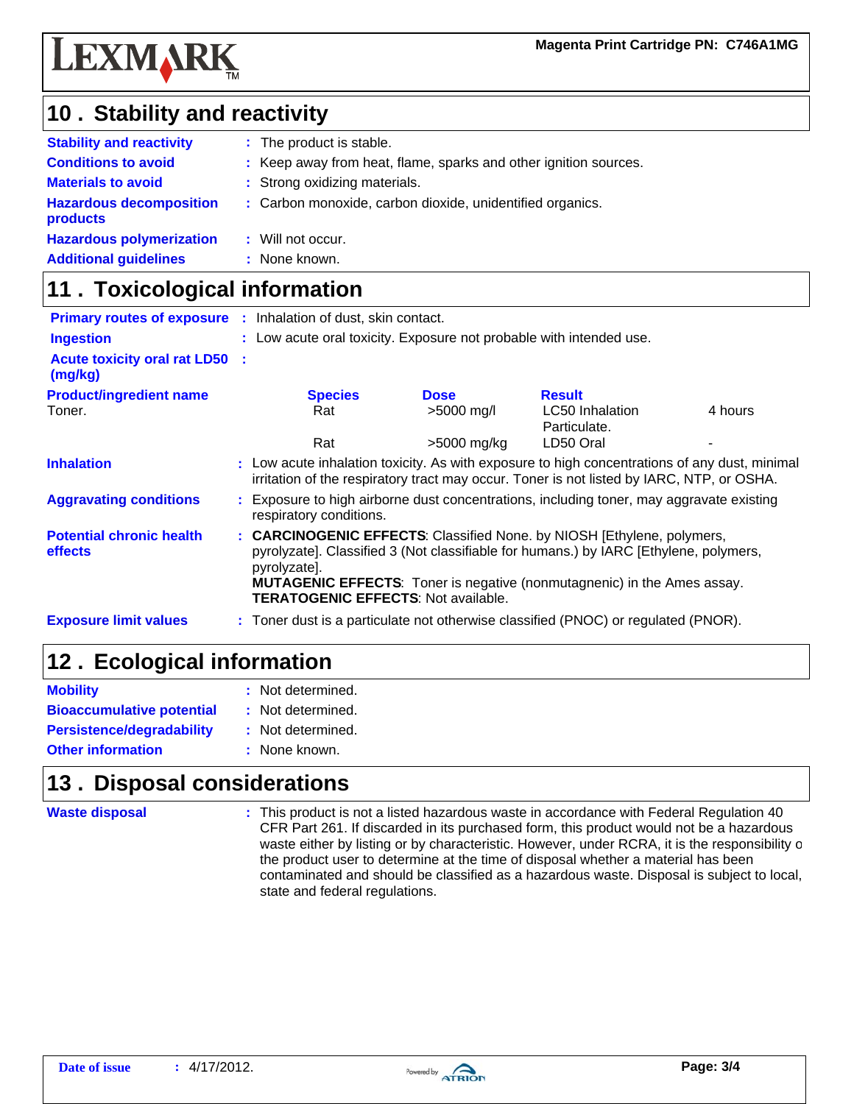

# 10 . Stability and reactivity

| <b>Stability and reactivity</b>            | : The product is stable.                                         |
|--------------------------------------------|------------------------------------------------------------------|
| <b>Conditions to avoid</b>                 | : Keep away from heat, flame, sparks and other ignition sources. |
| <b>Materials to avoid</b>                  | : Strong oxidizing materials.                                    |
| <b>Hazardous decomposition</b><br>products | : Carbon monoxide, carbon dioxide, unidentified organics.        |
| <b>Hazardous polymerization</b>            | : Will not occur.                                                |
| <b>Additional guidelines</b>               | : None known.                                                    |

# **11 . Toxicological information**

|                                                   | <b>Primary routes of exposure :</b> Inhalation of dust, skin contact.                                                                                                                                                                                                                                           |             |                                 |         |  |
|---------------------------------------------------|-----------------------------------------------------------------------------------------------------------------------------------------------------------------------------------------------------------------------------------------------------------------------------------------------------------------|-------------|---------------------------------|---------|--|
| <b>Ingestion</b>                                  | : Low acute oral toxicity. Exposure not probable with intended use.                                                                                                                                                                                                                                             |             |                                 |         |  |
| <b>Acute toxicity oral rat LD50 :</b><br>(mg/kg)  |                                                                                                                                                                                                                                                                                                                 |             |                                 |         |  |
| <b>Product/ingredient name</b>                    | <b>Species</b>                                                                                                                                                                                                                                                                                                  | <b>Dose</b> | <b>Result</b>                   |         |  |
| Toner.                                            | Rat                                                                                                                                                                                                                                                                                                             | >5000 mg/l  | LC50 Inhalation<br>Particulate. | 4 hours |  |
|                                                   | Rat                                                                                                                                                                                                                                                                                                             | >5000 mg/kg | LD50 Oral                       |         |  |
| <b>Inhalation</b>                                 | : Low acute inhalation toxicity. As with exposure to high concentrations of any dust, minimal<br>irritation of the respiratory tract may occur. Toner is not listed by IARC, NTP, or OSHA.                                                                                                                      |             |                                 |         |  |
| <b>Aggravating conditions</b>                     | : Exposure to high airborne dust concentrations, including toner, may aggravate existing<br>respiratory conditions.                                                                                                                                                                                             |             |                                 |         |  |
| <b>Potential chronic health</b><br><b>effects</b> | : CARCINOGENIC EFFECTS: Classified None. by NIOSH [Ethylene, polymers,<br>pyrolyzate]. Classified 3 (Not classifiable for humans.) by IARC [Ethylene, polymers,<br>pyrolyzate].<br><b>MUTAGENIC EFFECTS:</b> Toner is negative (nonmutagnenic) in the Ames assay.<br><b>TERATOGENIC EFFECTS: Not available.</b> |             |                                 |         |  |
| <b>Exposure limit values</b>                      | : Toner dust is a particulate not otherwise classified (PNOC) or regulated (PNOR).                                                                                                                                                                                                                              |             |                                 |         |  |

# 12. Ecological information

| <b>Mobility</b>                  | : Not determined. |
|----------------------------------|-------------------|
| <b>Bioaccumulative potential</b> | : Not determined. |
| <b>Persistence/degradability</b> | : Not determined. |
| <b>Other information</b>         | : None known.     |

## **13. Disposal considerations**

**Waste disposal**

**:** This product is not a listed hazardous waste in accordance with Federal Regulation 40 CFR Part 261. If discarded in its purchased form, this product would not be a hazardous waste either by listing or by characteristic. However, under RCRA, it is the responsibility o the product user to determine at the time of disposal whether a material has been contaminated and should be classified as a hazardous waste. Disposal is subject to local, state and federal regulations.